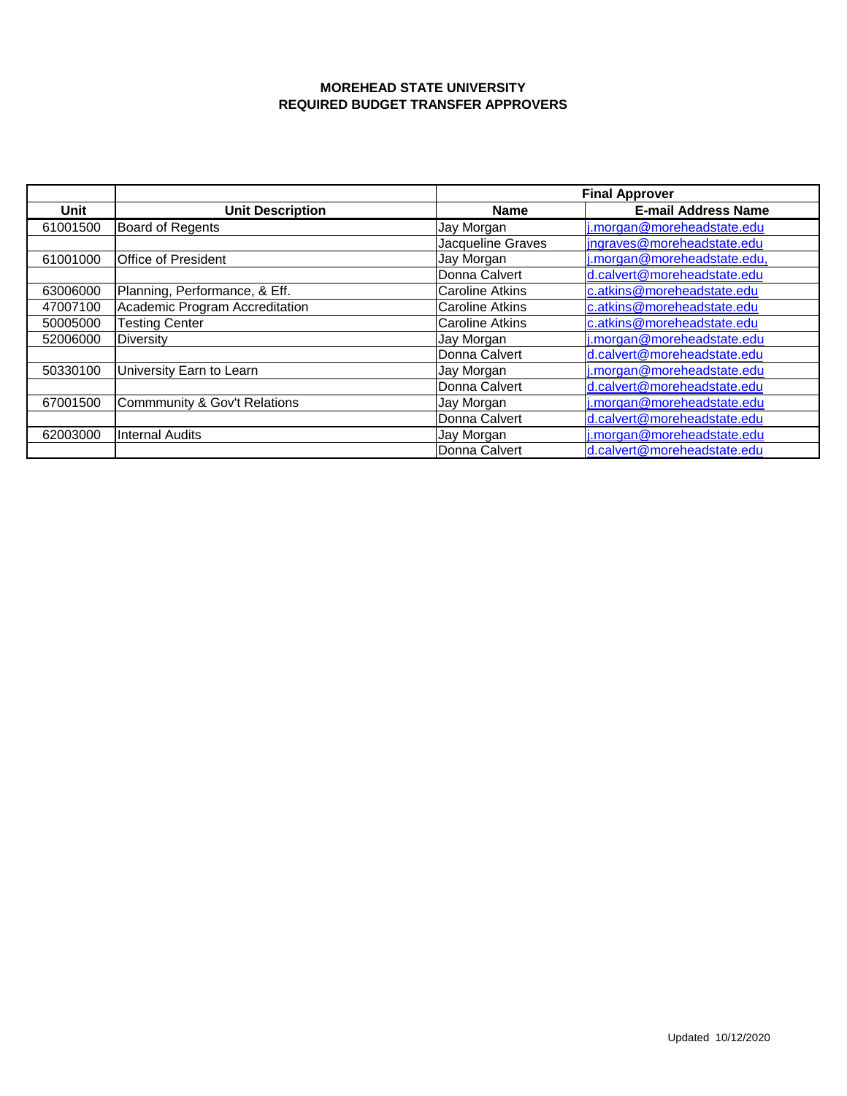|             |                                | <b>Final Approver</b>  |                             |
|-------------|--------------------------------|------------------------|-----------------------------|
| <b>Unit</b> | <b>Unit Description</b>        | <b>Name</b>            | <b>E-mail Address Name</b>  |
| 61001500    | <b>Board of Regents</b>        | Jay Morgan             | j.morgan@moreheadstate.edu  |
|             |                                | Jacqueline Graves      | ingraves@moreheadstate.edu  |
| 61001000    | Office of President            | Jay Morgan             | j.morgan@moreheadstate.edu, |
|             |                                | Donna Calvert          | d.calvert@moreheadstate.edu |
| 63006000    | Planning, Performance, & Eff.  | <b>Caroline Atkins</b> | c.atkins@moreheadstate.edu  |
| 47007100    | Academic Program Accreditation | <b>Caroline Atkins</b> | c.atkins@moreheadstate.edu  |
| 50005000    | <b>Testing Center</b>          | Caroline Atkins        | c.atkins@moreheadstate.edu  |
| 52006000    | Diversity                      | Jay Morgan             | j.morgan@moreheadstate.edu  |
|             |                                | Donna Calvert          | d.calvert@moreheadstate.edu |
| 50330100    | University Earn to Learn       | Jay Morgan             | j.morgan@moreheadstate.edu  |
|             |                                | Donna Calvert          | d.calvert@moreheadstate.edu |
| 67001500    | Commmunity & Gov't Relations   | Jay Morgan             | j.morgan@moreheadstate.edu  |
|             |                                | Donna Calvert          | d.calvert@moreheadstate.edu |
| 62003000    | <b>Internal Audits</b>         | Jay Morgan             | j.morgan@moreheadstate.edu  |
|             |                                | Donna Calvert          | d.calvert@moreheadstate.edu |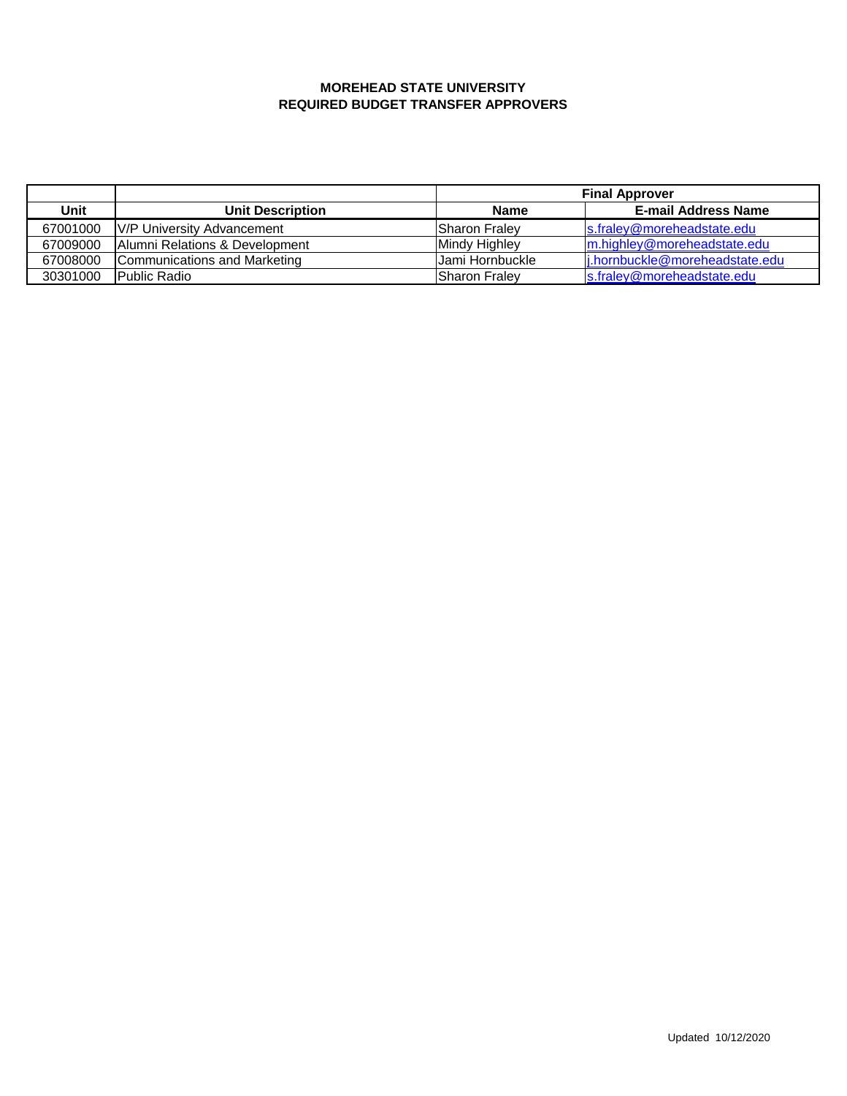|          |                                | <b>Final Approver</b> |                                |
|----------|--------------------------------|-----------------------|--------------------------------|
| Unit     | <b>Unit Description</b>        | <b>Name</b>           | <b>E-mail Address Name</b>     |
| 67001000 | V/P University Advancement     | Sharon Fraley         | s.fraley@moreheadstate.edu     |
| 67009000 | Alumni Relations & Development | Mindy Highley         | m.highley@moreheadstate.edu    |
| 67008000 | Communications and Marketing   | Jami Hornbuckle       | i.hornbuckle@moreheadstate.edu |
| 30301000 | Public Radio                   | Sharon Fraley         | s.fraley@moreheadstate.edu     |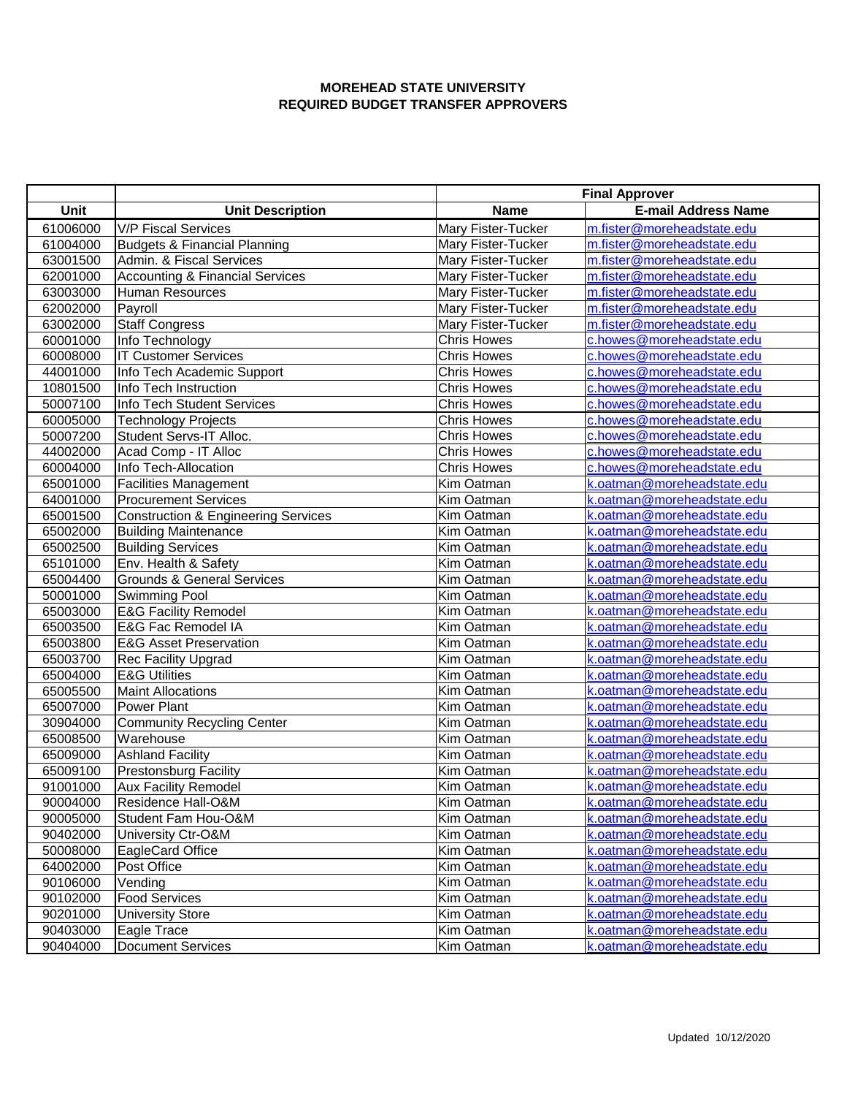|          |                                                | <b>Final Approver</b> |                            |
|----------|------------------------------------------------|-----------------------|----------------------------|
| Unit     | <b>Unit Description</b>                        | <b>Name</b>           | <b>E-mail Address Name</b> |
| 61006000 | <b>V/P Fiscal Services</b>                     | Mary Fister-Tucker    | m.fister@moreheadstate.edu |
| 61004000 | <b>Budgets &amp; Financial Planning</b>        | Mary Fister-Tucker    | m.fister@moreheadstate.edu |
| 63001500 | Admin. & Fiscal Services                       | Mary Fister-Tucker    | m.fister@moreheadstate.edu |
| 62001000 | <b>Accounting &amp; Financial Services</b>     | Mary Fister-Tucker    | m.fister@moreheadstate.edu |
| 63003000 | Human Resources                                | Mary Fister-Tucker    | m.fister@moreheadstate.edu |
| 62002000 | Payroll                                        | Mary Fister-Tucker    | m.fister@moreheadstate.edu |
| 63002000 | <b>Staff Congress</b>                          | Mary Fister-Tucker    | m.fister@moreheadstate.edu |
| 60001000 | Info Technology                                | <b>Chris Howes</b>    | c.howes@moreheadstate.edu  |
| 60008000 | <b>IT Customer Services</b>                    | <b>Chris Howes</b>    | c.howes@moreheadstate.edu  |
| 44001000 | Info Tech Academic Support                     | <b>Chris Howes</b>    | c.howes@moreheadstate.edu  |
| 10801500 | Info Tech Instruction                          | <b>Chris Howes</b>    | c.howes@moreheadstate.edu  |
| 50007100 | Info Tech Student Services                     | <b>Chris Howes</b>    | c.howes@moreheadstate.edu  |
| 60005000 | <b>Technology Projects</b>                     | <b>Chris Howes</b>    | c.howes@moreheadstate.edu  |
| 50007200 | Student Servs-IT Alloc.                        | <b>Chris Howes</b>    | c.howes@moreheadstate.edu  |
| 44002000 | Acad Comp - IT Alloc                           | <b>Chris Howes</b>    | c.howes@moreheadstate.edu  |
| 60004000 | Info Tech-Allocation                           | <b>Chris Howes</b>    | c.howes@moreheadstate.edu  |
| 65001000 | <b>Facilities Management</b>                   | Kim Oatman            | k.oatman@moreheadstate.edu |
| 64001000 | <b>Procurement Services</b>                    | Kim Oatman            | k.oatman@moreheadstate.edu |
| 65001500 | <b>Construction &amp; Engineering Services</b> | Kim Oatman            | k.oatman@moreheadstate.edu |
| 65002000 | <b>Building Maintenance</b>                    | Kim Oatman            | k.oatman@moreheadstate.edu |
| 65002500 | <b>Building Services</b>                       | Kim Oatman            | k.oatman@moreheadstate.edu |
| 65101000 | Env. Health & Safety                           | Kim Oatman            | k.oatman@moreheadstate.edu |
| 65004400 | <b>Grounds &amp; General Services</b>          | Kim Oatman            | k.oatman@moreheadstate.edu |
| 50001000 | Swimming Pool                                  | Kim Oatman            | k.oatman@moreheadstate.edu |
| 65003000 | <b>E&amp;G Facility Remodel</b>                | Kim Oatman            | k.oatman@moreheadstate.edu |
| 65003500 | E&G Fac Remodel IA                             | Kim Oatman            | k.oatman@moreheadstate.edu |
| 65003800 | <b>E&amp;G Asset Preservation</b>              | Kim Oatman            | k.oatman@moreheadstate.edu |
| 65003700 | Rec Facility Upgrad                            | Kim Oatman            | k.oatman@moreheadstate.edu |
| 65004000 | <b>E&amp;G Utilities</b>                       | Kim Oatman            | k.oatman@moreheadstate.edu |
| 65005500 | <b>Maint Allocations</b>                       | Kim Oatman            | k.oatman@moreheadstate.edu |
| 65007000 | Power Plant                                    | Kim Oatman            | k.oatman@moreheadstate.edu |
| 30904000 | <b>Community Recycling Center</b>              | Kim Oatman            | k.oatman@moreheadstate.edu |
| 65008500 | Warehouse                                      | Kim Oatman            | k.oatman@moreheadstate.edu |
| 65009000 | <b>Ashland Facility</b>                        | Kim Oatman            | k.oatman@moreheadstate.edu |
| 65009100 | <b>Prestonsburg Facility</b>                   | Kim Oatman            | k.oatman@moreheadstate.edu |
| 91001000 | <b>Aux Facility Remodel</b>                    | Kim Oatman            | k.oatman@moreheadstate.edu |
| 90004000 | Residence Hall-O&M                             | Kim Oatman            | k.oatman@moreheadstate.edu |
| 90005000 | Student Fam Hou-O&M                            | Kim Oatman            | k.oatman@moreheadstate.edu |
| 90402000 | University Ctr-O&M                             | Kim Oatman            | k.oatman@moreheadstate.edu |
| 50008000 | EagleCard Office                               | Kim Oatman            | k.oatman@moreheadstate.edu |
| 64002000 | Post Office                                    | Kim Oatman            | k.oatman@moreheadstate.edu |
| 90106000 | Vending                                        | Kim Oatman            | k.oatman@moreheadstate.edu |
| 90102000 | <b>Food Services</b>                           | Kim Oatman            | k.oatman@moreheadstate.edu |
| 90201000 | <b>University Store</b>                        | Kim Oatman            | k.oatman@moreheadstate.edu |
| 90403000 | Eagle Trace                                    | Kim Oatman            | k.oatman@moreheadstate.edu |
| 90404000 | <b>Document Services</b>                       | Kim Oatman            | k.oatman@moreheadstate.edu |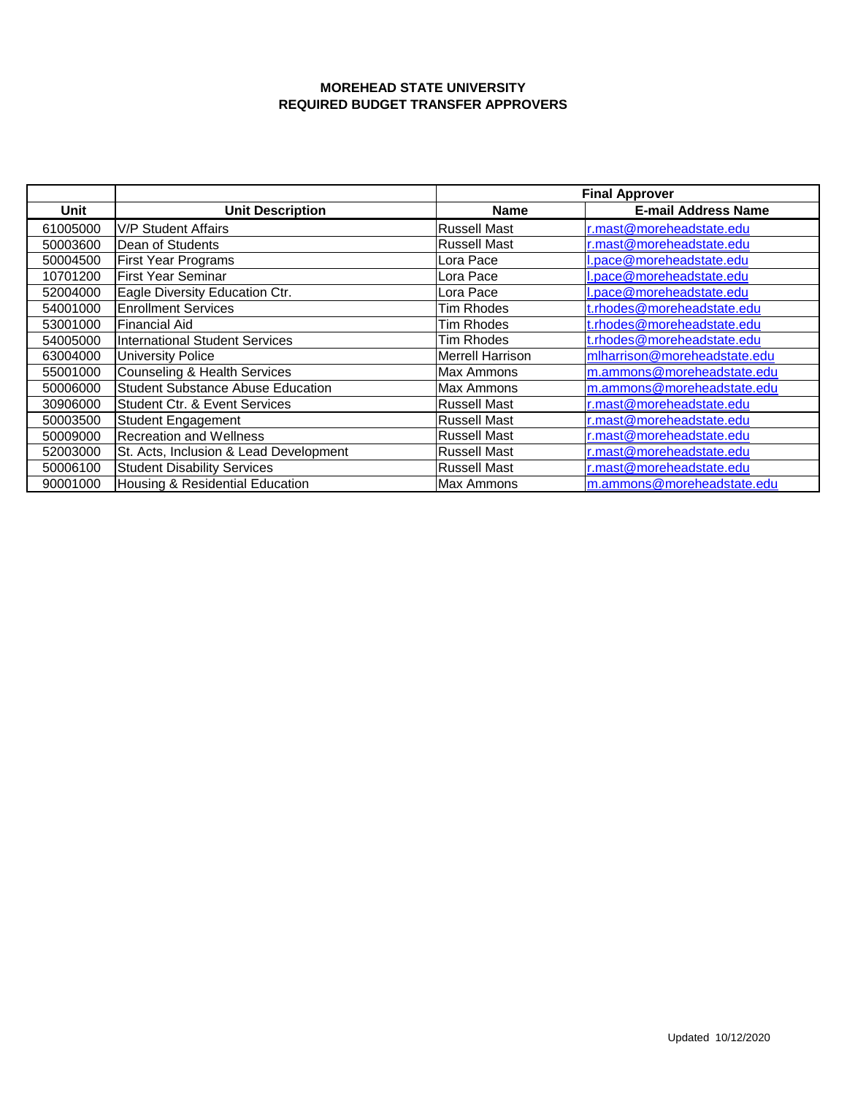|          |                                          | <b>Final Approver</b>   |                              |
|----------|------------------------------------------|-------------------------|------------------------------|
| Unit     | <b>Unit Description</b>                  | <b>Name</b>             | <b>E-mail Address Name</b>   |
| 61005000 | <b>V/P Student Affairs</b>               | <b>Russell Mast</b>     | r.mast@moreheadstate.edu     |
| 50003600 | Dean of Students                         | <b>Russell Mast</b>     | r.mast@moreheadstate.edu     |
| 50004500 | <b>First Year Programs</b>               | Lora Pace               | l.pace@moreheadstate.edu     |
| 10701200 | <b>First Year Seminar</b>                | Lora Pace               | l.pace@moreheadstate.edu     |
| 52004000 | Eagle Diversity Education Ctr.           | Lora Pace               | l.pace@moreheadstate.edu     |
| 54001000 | <b>Enrollment Services</b>               | Tim Rhodes              | t.rhodes@moreheadstate.edu   |
| 53001000 | <b>Financial Aid</b>                     | Tim Rhodes              | t.rhodes@moreheadstate.edu   |
| 54005000 | International Student Services           | Tim Rhodes              | t.rhodes@moreheadstate.edu   |
| 63004000 | <b>University Police</b>                 | <b>Merrell Harrison</b> | mlharrison@moreheadstate.edu |
| 55001000 | <b>Counseling &amp; Health Services</b>  | Max Ammons              | m.ammons@moreheadstate.edu   |
| 50006000 | <b>Student Substance Abuse Education</b> | Max Ammons              | m.ammons@moreheadstate.edu   |
| 30906000 | <b>Student Ctr. &amp; Event Services</b> | <b>Russell Mast</b>     | r.mast@moreheadstate.edu     |
| 50003500 | <b>Student Engagement</b>                | <b>Russell Mast</b>     | r.mast@moreheadstate.edu     |
| 50009000 | <b>Recreation and Wellness</b>           | <b>Russell Mast</b>     | r.mast@moreheadstate.edu     |
| 52003000 | St. Acts, Inclusion & Lead Development   | <b>Russell Mast</b>     | r.mast@moreheadstate.edu     |
| 50006100 | <b>Student Disability Services</b>       | <b>Russell Mast</b>     | r.mast@moreheadstate.edu     |
| 90001000 | Housing & Residential Education          | <b>Max Ammons</b>       | m.ammons@moreheadstate.edu   |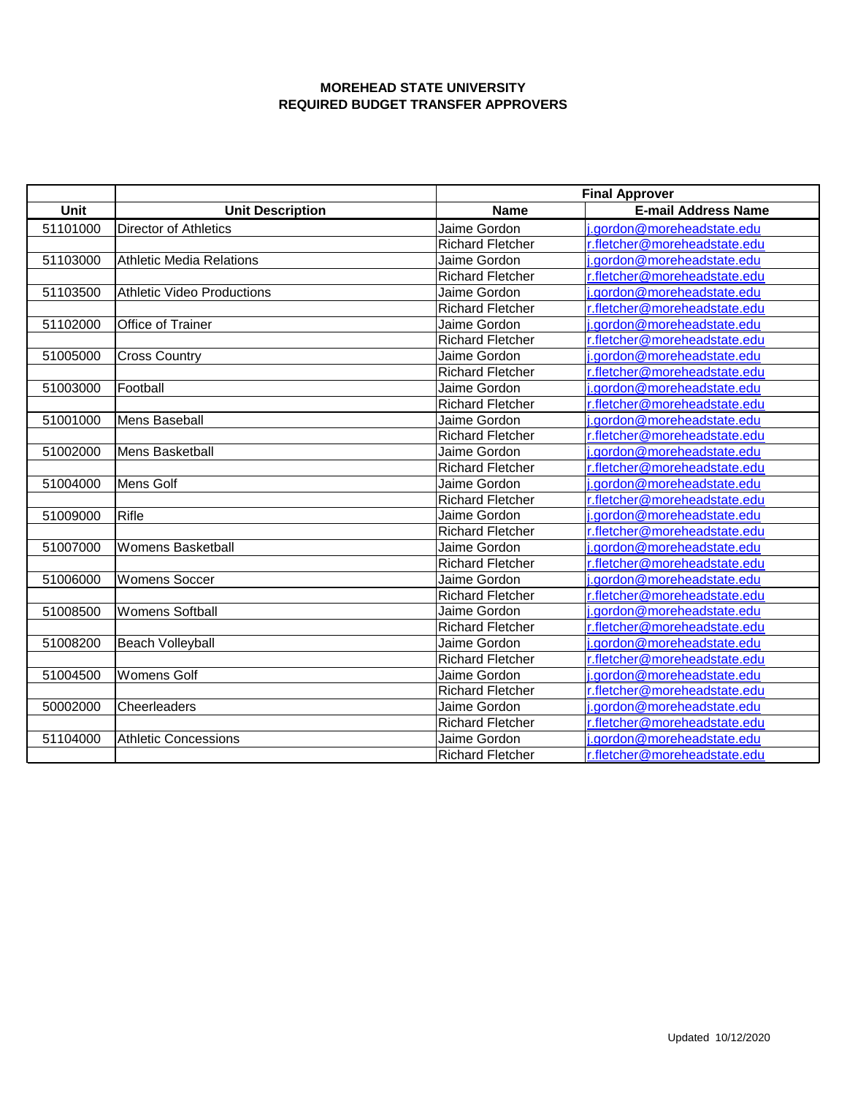|             |                                   | <b>Final Approver</b>   |                              |  |
|-------------|-----------------------------------|-------------------------|------------------------------|--|
| <b>Unit</b> | <b>Unit Description</b>           | <b>Name</b>             | <b>E-mail Address Name</b>   |  |
| 51101000    | <b>Director of Athletics</b>      | Jaime Gordon            | j.gordon@moreheadstate.edu   |  |
|             |                                   | <b>Richard Fletcher</b> | r.fletcher@moreheadstate.edu |  |
| 51103000    | <b>Athletic Media Relations</b>   | Jaime Gordon            | i.gordon@moreheadstate.edu   |  |
|             |                                   | <b>Richard Fletcher</b> | r.fletcher@moreheadstate.edu |  |
| 51103500    | <b>Athletic Video Productions</b> | Jaime Gordon            | i.gordon@moreheadstate.edu   |  |
|             |                                   | <b>Richard Fletcher</b> | r.fletcher@moreheadstate.edu |  |
| 51102000    | Office of Trainer                 | Jaime Gordon            | .gordon@moreheadstate.edu    |  |
|             |                                   | <b>Richard Fletcher</b> | r.fletcher@moreheadstate.edu |  |
| 51005000    | <b>Cross Country</b>              | Jaime Gordon            | i.gordon@moreheadstate.edu   |  |
|             |                                   | <b>Richard Fletcher</b> | r.fletcher@moreheadstate.edu |  |
| 51003000    | Football                          | Jaime Gordon            | i.gordon@moreheadstate.edu   |  |
|             |                                   | <b>Richard Fletcher</b> | r.fletcher@moreheadstate.edu |  |
| 51001000    | Mens Baseball                     | Jaime Gordon            | j.gordon@moreheadstate.edu   |  |
|             |                                   | <b>Richard Fletcher</b> | r.fletcher@moreheadstate.edu |  |
| 51002000    | Mens Basketball                   | Jaime Gordon            | i.gordon@moreheadstate.edu   |  |
|             |                                   | <b>Richard Fletcher</b> | r.fletcher@moreheadstate.edu |  |
| 51004000    | Mens Golf                         | Jaime Gordon            | i.gordon@moreheadstate.edu   |  |
|             |                                   | <b>Richard Fletcher</b> | r.fletcher@moreheadstate.edu |  |
| 51009000    | Rifle                             | Jaime Gordon            | j.gordon@moreheadstate.edu   |  |
|             |                                   | <b>Richard Fletcher</b> | r.fletcher@moreheadstate.edu |  |
| 51007000    | <b>Womens Basketball</b>          | Jaime Gordon            | j.gordon@moreheadstate.edu   |  |
|             |                                   | <b>Richard Fletcher</b> | r.fletcher@moreheadstate.edu |  |
| 51006000    | <b>Womens Soccer</b>              | Jaime Gordon            | i.gordon@moreheadstate.edu   |  |
|             |                                   | <b>Richard Fletcher</b> | r.fletcher@moreheadstate.edu |  |
| 51008500    | <b>Womens Softball</b>            | Jaime Gordon            | i.gordon@moreheadstate.edu   |  |
|             |                                   | <b>Richard Fletcher</b> | r.fletcher@moreheadstate.edu |  |
| 51008200    | <b>Beach Volleyball</b>           | Jaime Gordon            | i.gordon@moreheadstate.edu   |  |
|             |                                   | <b>Richard Fletcher</b> | r.fletcher@moreheadstate.edu |  |
| 51004500    | <b>Womens Golf</b>                | Jaime Gordon            | i.gordon@moreheadstate.edu   |  |
|             |                                   | <b>Richard Fletcher</b> | r.fletcher@moreheadstate.edu |  |
| 50002000    | Cheerleaders                      | Jaime Gordon            | i.gordon@moreheadstate.edu   |  |
|             |                                   | <b>Richard Fletcher</b> | r.fletcher@moreheadstate.edu |  |
| 51104000    | <b>Athletic Concessions</b>       | Jaime Gordon            | i.gordon@moreheadstate.edu   |  |
|             |                                   | <b>Richard Fletcher</b> | r.fletcher@moreheadstate.edu |  |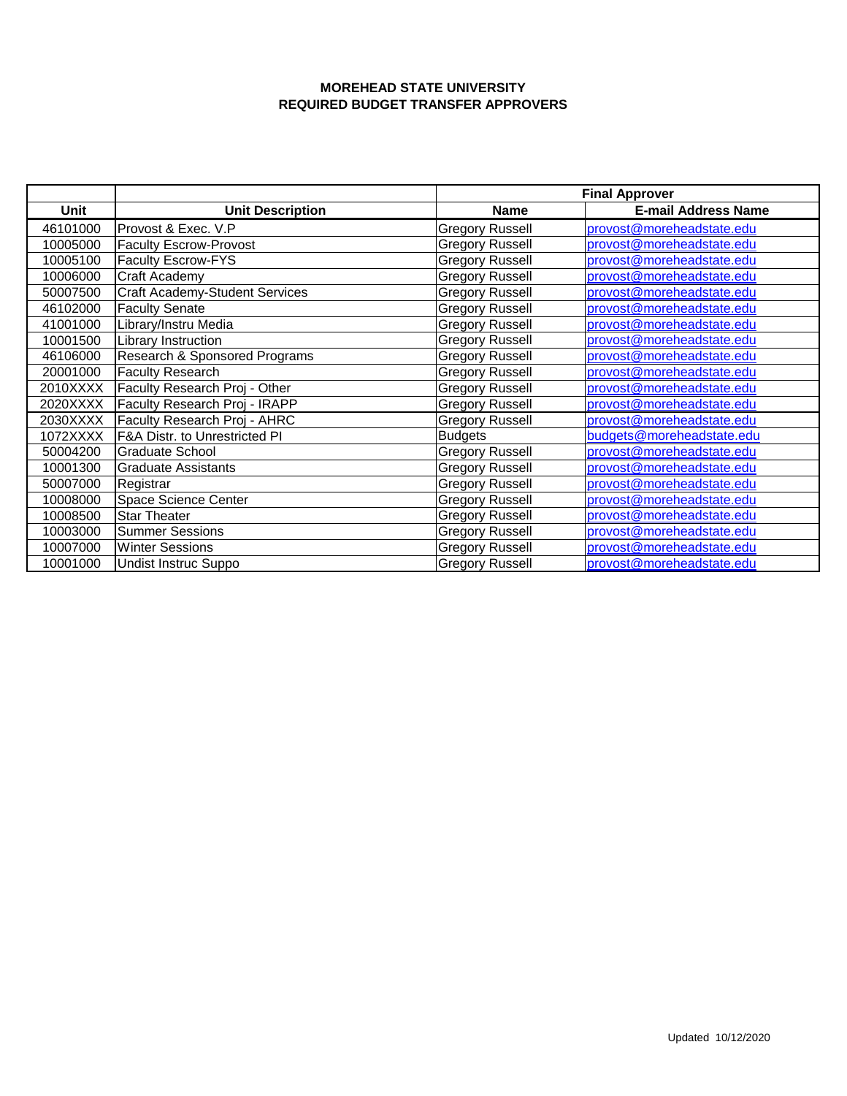|          |                                | <b>Final Approver</b>  |                            |
|----------|--------------------------------|------------------------|----------------------------|
| Unit     | <b>Unit Description</b>        | <b>Name</b>            | <b>E-mail Address Name</b> |
| 46101000 | Provost & Exec. V.P            | <b>Gregory Russell</b> | provost@moreheadstate.edu  |
| 10005000 | <b>Faculty Escrow-Provost</b>  | <b>Gregory Russell</b> | provost@moreheadstate.edu  |
| 10005100 | <b>Faculty Escrow-FYS</b>      | <b>Gregory Russell</b> | provost@moreheadstate.edu  |
| 10006000 | Craft Academy                  | <b>Gregory Russell</b> | provost@moreheadstate.edu  |
| 50007500 | Craft Academy-Student Services | <b>Gregory Russell</b> | provost@moreheadstate.edu  |
| 46102000 | <b>Faculty Senate</b>          | <b>Gregory Russell</b> | provost@moreheadstate.edu  |
| 41001000 | Library/Instru Media           | <b>Gregory Russell</b> | provost@moreheadstate.edu  |
| 10001500 | Library Instruction            | <b>Gregory Russell</b> | provost@moreheadstate.edu  |
| 46106000 | Research & Sponsored Programs  | <b>Gregory Russell</b> | provost@moreheadstate.edu  |
| 20001000 | <b>Faculty Research</b>        | <b>Gregory Russell</b> | provost@moreheadstate.edu  |
| 2010XXXX | Faculty Research Proj - Other  | <b>Gregory Russell</b> | provost@moreheadstate.edu  |
| 2020XXXX | Faculty Research Proj - IRAPP  | <b>Gregory Russell</b> | provost@moreheadstate.edu  |
| 2030XXXX | Faculty Research Proj - AHRC   | <b>Gregory Russell</b> | provost@moreheadstate.edu  |
| 1072XXXX | F&A Distr. to Unrestricted PI  | <b>Budgets</b>         | budgets@moreheadstate.edu  |
| 50004200 | <b>Graduate School</b>         | <b>Gregory Russell</b> | provost@moreheadstate.edu  |
| 10001300 | Graduate Assistants            | <b>Gregory Russell</b> | provost@moreheadstate.edu  |
| 50007000 | Registrar                      | <b>Gregory Russell</b> | provost@moreheadstate.edu  |
| 10008000 | Space Science Center           | <b>Gregory Russell</b> | provost@moreheadstate.edu  |
| 10008500 | <b>Star Theater</b>            | <b>Gregory Russell</b> | provost@moreheadstate.edu  |
| 10003000 | <b>Summer Sessions</b>         | <b>Gregory Russell</b> | provost@moreheadstate.edu  |
| 10007000 | <b>Winter Sessions</b>         | <b>Gregory Russell</b> | provost@moreheadstate.edu  |
| 10001000 | Undist Instruc Suppo           | <b>Gregory Russell</b> | provost@moreheadstate.edu  |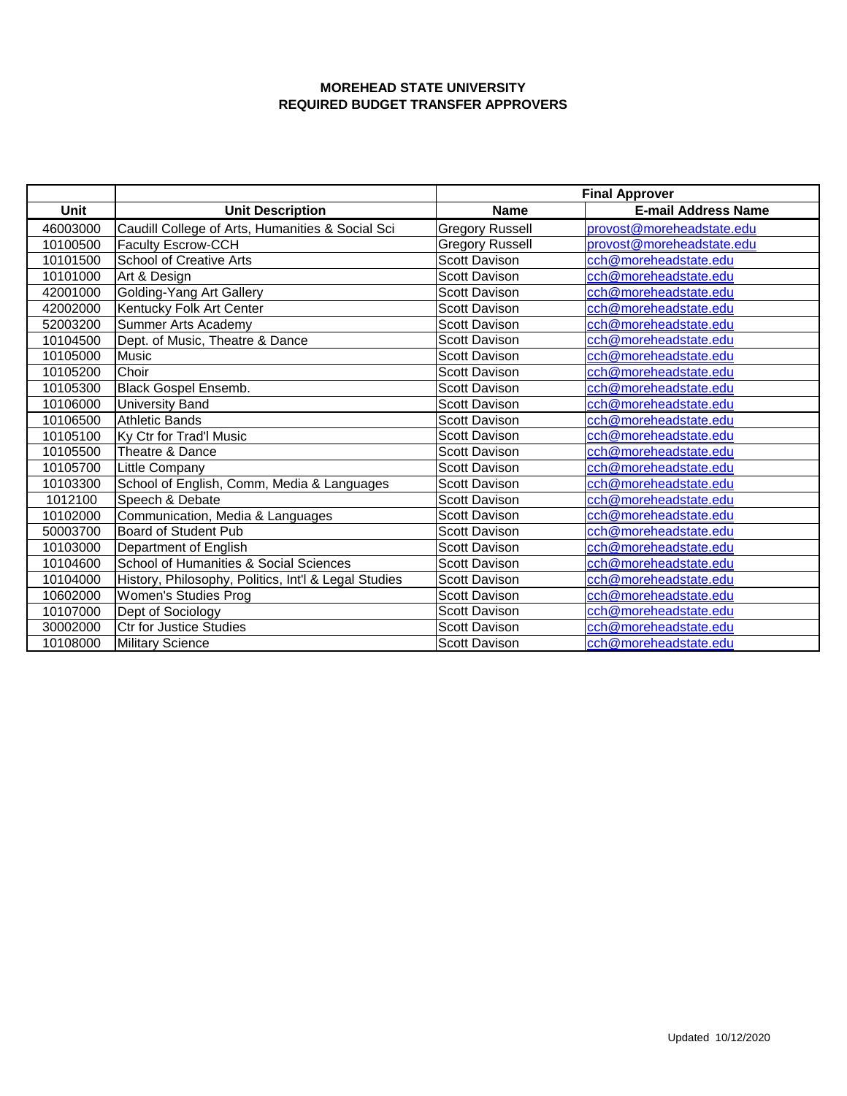|             |                                                      | <b>Final Approver</b>  |                            |
|-------------|------------------------------------------------------|------------------------|----------------------------|
| <b>Unit</b> | <b>Unit Description</b>                              | <b>Name</b>            | <b>E-mail Address Name</b> |
| 46003000    | Caudill College of Arts, Humanities & Social Sci     | <b>Gregory Russell</b> | provost@moreheadstate.edu  |
| 10100500    | Faculty Escrow-CCH                                   | <b>Gregory Russell</b> | provost@moreheadstate.edu  |
| 10101500    | <b>School of Creative Arts</b>                       | <b>Scott Davison</b>   | cch@moreheadstate.edu      |
| 10101000    | Art & Design                                         | <b>Scott Davison</b>   | cch@moreheadstate.edu      |
| 42001000    | Golding-Yang Art Gallery                             | <b>Scott Davison</b>   | cch@moreheadstate.edu      |
| 42002000    | Kentucky Folk Art Center                             | <b>Scott Davison</b>   | cch@moreheadstate.edu      |
| 52003200    | Summer Arts Academy                                  | <b>Scott Davison</b>   | cch@moreheadstate.edu      |
| 10104500    | Dept. of Music, Theatre & Dance                      | Scott Davison          | cch@moreheadstate.edu      |
| 10105000    | Music                                                | Scott Davison          | cch@moreheadstate.edu      |
| 10105200    | Choir                                                | <b>Scott Davison</b>   | cch@moreheadstate.edu      |
| 10105300    | Black Gospel Ensemb.                                 | <b>Scott Davison</b>   | cch@moreheadstate.edu      |
| 10106000    | University Band                                      | <b>Scott Davison</b>   | cch@moreheadstate.edu      |
| 10106500    | <b>Athletic Bands</b>                                | <b>Scott Davison</b>   | cch@moreheadstate.edu      |
| 10105100    | Ky Ctr for Trad'l Music                              | Scott Davison          | cch@moreheadstate.edu      |
| 10105500    | Theatre & Dance                                      | <b>Scott Davison</b>   | cch@moreheadstate.edu      |
| 10105700    | Little Company                                       | <b>Scott Davison</b>   | cch@moreheadstate.edu      |
| 10103300    | School of English, Comm, Media & Languages           | <b>Scott Davison</b>   | cch@moreheadstate.edu      |
| 1012100     | Speech & Debate                                      | <b>Scott Davison</b>   | cch@moreheadstate.edu      |
| 10102000    | Communication, Media & Languages                     | <b>Scott Davison</b>   | cch@moreheadstate.edu      |
| 50003700    | Board of Student Pub                                 | <b>Scott Davison</b>   | cch@moreheadstate.edu      |
| 10103000    | Department of English                                | <b>Scott Davison</b>   | cch@moreheadstate.edu      |
| 10104600    | School of Humanities & Social Sciences               | <b>Scott Davison</b>   | cch@moreheadstate.edu      |
| 10104000    | History, Philosophy, Politics, Int'l & Legal Studies | <b>Scott Davison</b>   | cch@moreheadstate.edu      |
| 10602000    | Women's Studies Prog                                 | <b>Scott Davison</b>   | cch@moreheadstate.edu      |
| 10107000    | Dept of Sociology                                    | <b>Scott Davison</b>   | cch@moreheadstate.edu      |
| 30002000    | <b>Ctr for Justice Studies</b>                       | <b>Scott Davison</b>   | cch@moreheadstate.edu      |
| 10108000    | <b>Military Science</b>                              | <b>Scott Davison</b>   | cch@moreheadstate.edu      |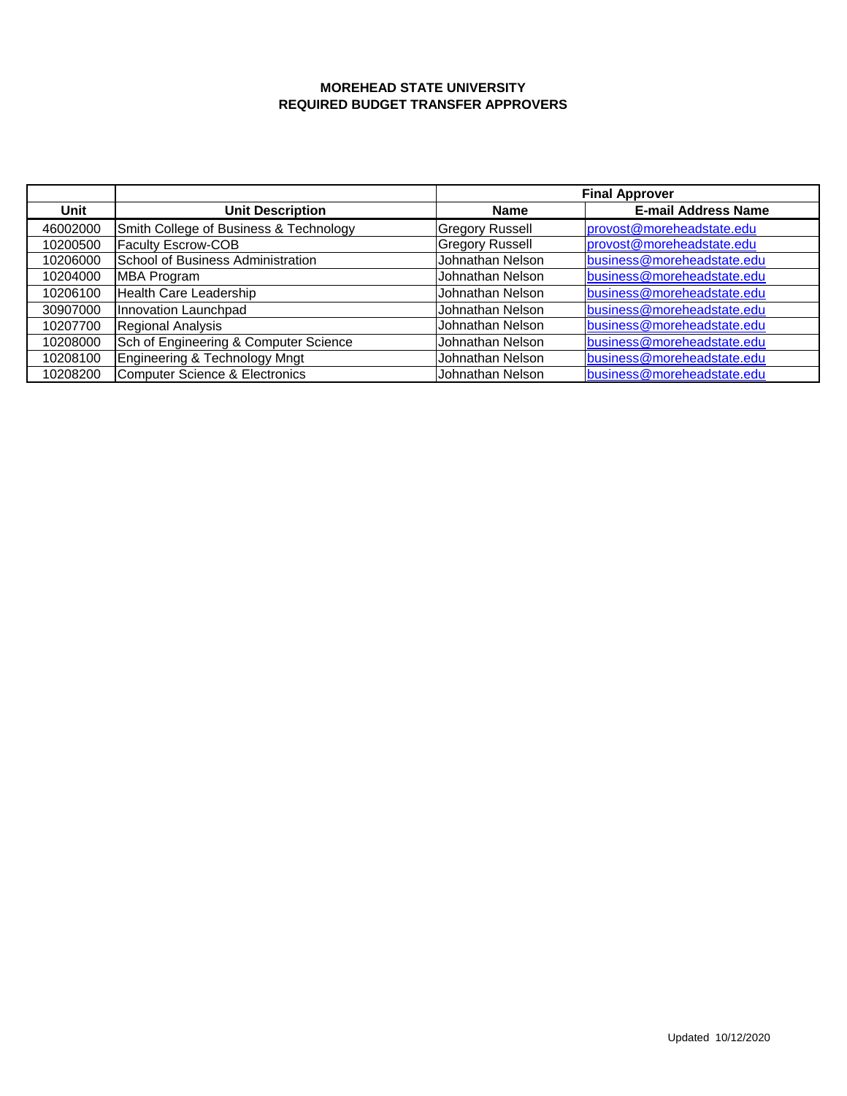|          |                                           | <b>Final Approver</b>  |                            |
|----------|-------------------------------------------|------------------------|----------------------------|
| Unit     | <b>Unit Description</b>                   | <b>Name</b>            | <b>E-mail Address Name</b> |
| 46002000 | Smith College of Business & Technology    | <b>Gregory Russell</b> | provost@moreheadstate.edu  |
| 10200500 | <b>Faculty Escrow-COB</b>                 | <b>Gregory Russell</b> | provost@moreheadstate.edu  |
| 10206000 | School of Business Administration         | Johnathan Nelson       | business@moreheadstate.edu |
| 10204000 | <b>MBA Program</b>                        | Johnathan Nelson       | business@moreheadstate.edu |
| 10206100 | Health Care Leadership                    | Johnathan Nelson       | business@moreheadstate.edu |
| 30907000 | Innovation Launchpad                      | Johnathan Nelson       | business@moreheadstate.edu |
| 10207700 | Regional Analysis                         | Johnathan Nelson       | business@moreheadstate.edu |
| 10208000 | Sch of Engineering & Computer Science     | Johnathan Nelson       | business@moreheadstate.edu |
| 10208100 | Engineering & Technology Mngt             | Johnathan Nelson       | business@moreheadstate.edu |
| 10208200 | <b>Computer Science &amp; Electronics</b> | Johnathan Nelson       | business@moreheadstate.edu |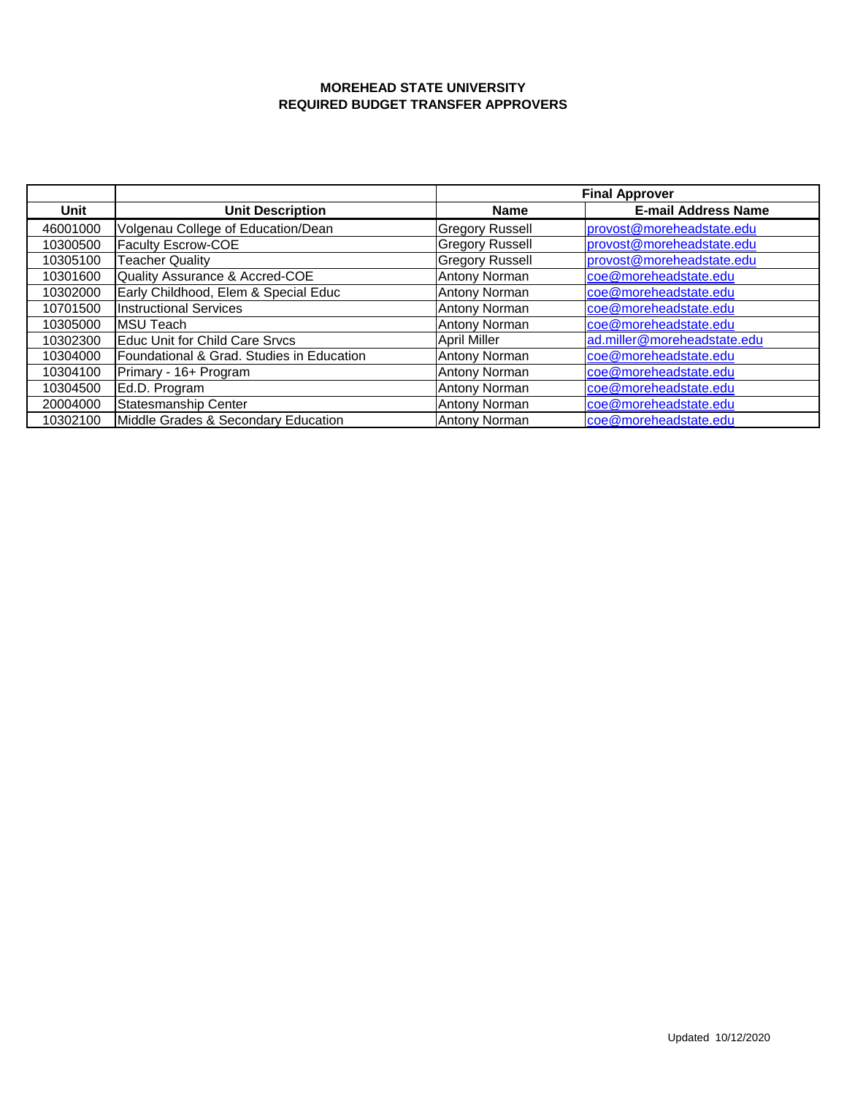|          |                                           | <b>Final Approver</b>  |                             |
|----------|-------------------------------------------|------------------------|-----------------------------|
| Unit     | <b>Unit Description</b>                   | Name                   | <b>E-mail Address Name</b>  |
| 46001000 | Volgenau College of Education/Dean        | <b>Gregory Russell</b> | provost@moreheadstate.edu   |
| 10300500 | Faculty Escrow-COE                        | <b>Gregory Russell</b> | provost@moreheadstate.edu   |
| 10305100 | <b>Teacher Quality</b>                    | <b>Gregory Russell</b> | provost@moreheadstate.edu   |
| 10301600 | Quality Assurance & Accred-COE            | Antony Norman          | coe@moreheadstate.edu       |
| 10302000 | Early Childhood, Elem & Special Educ      | Antony Norman          | coe@moreheadstate.edu       |
| 10701500 | <b>Instructional Services</b>             | Antony Norman          | coe@moreheadstate.edu       |
| 10305000 | <b>MSU Teach</b>                          | <b>Antony Norman</b>   | coe@moreheadstate.edu       |
| 10302300 | Educ Unit for Child Care Srvcs            | <b>April Miller</b>    | ad.miller@moreheadstate.edu |
| 10304000 | Foundational & Grad. Studies in Education | Antony Norman          | coe@moreheadstate.edu       |
| 10304100 | Primary - 16+ Program                     | <b>Antony Norman</b>   | coe@moreheadstate.edu       |
| 10304500 | Ed.D. Program                             | <b>Antony Norman</b>   | coe@moreheadstate.edu       |
| 20004000 | Statesmanship Center                      | Antony Norman          | coe@moreheadstate.edu       |
| 10302100 | Middle Grades & Secondary Education       | Antony Norman          | coe@moreheadstate.edu       |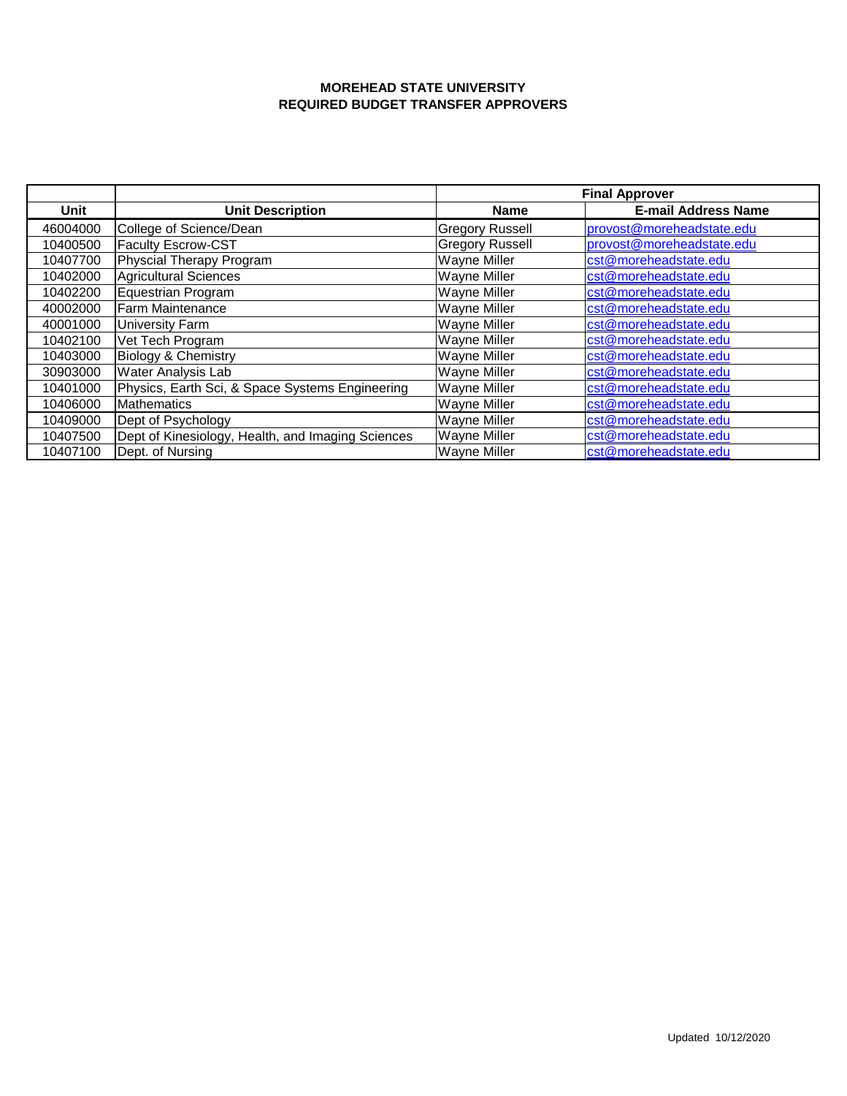|          |                                                   | <b>Final Approver</b>  |                            |
|----------|---------------------------------------------------|------------------------|----------------------------|
| Unit     | <b>Unit Description</b>                           | <b>Name</b>            | <b>E-mail Address Name</b> |
| 46004000 | College of Science/Dean                           | <b>Gregory Russell</b> | provost@moreheadstate.edu  |
| 10400500 | <b>Faculty Escrow-CST</b>                         | <b>Gregory Russell</b> | provost@moreheadstate.edu  |
| 10407700 | Physcial Therapy Program                          | <b>Wayne Miller</b>    | cst@moreheadstate.edu      |
| 10402000 | <b>Agricultural Sciences</b>                      | Wayne Miller           | cst@moreheadstate.edu      |
| 10402200 | Equestrian Program                                | Wayne Miller           | cst@moreheadstate.edu      |
| 40002000 | Farm Maintenance                                  | Wayne Miller           | cst@moreheadstate.edu      |
| 40001000 | University Farm                                   | Wayne Miller           | cst@moreheadstate.edu      |
| 10402100 | Vet Tech Program                                  | Wayne Miller           | cst@moreheadstate.edu      |
| 10403000 | <b>Biology &amp; Chemistry</b>                    | Wayne Miller           | cst@moreheadstate.edu      |
| 30903000 | Water Analysis Lab                                | Wayne Miller           | cst@moreheadstate.edu      |
| 10401000 | Physics, Earth Sci, & Space Systems Engineering   | <b>Wayne Miller</b>    | cst@moreheadstate.edu      |
| 10406000 | <b>Mathematics</b>                                | Wayne Miller           | cst@moreheadstate.edu      |
| 10409000 | Dept of Psychology                                | Wayne Miller           | cst@moreheadstate.edu      |
| 10407500 | Dept of Kinesiology, Health, and Imaging Sciences | Wayne Miller           | cst@moreheadstate.edu      |
| 10407100 | Dept. of Nursing                                  | <b>Wayne Miller</b>    | cst@moreheadstate.edu      |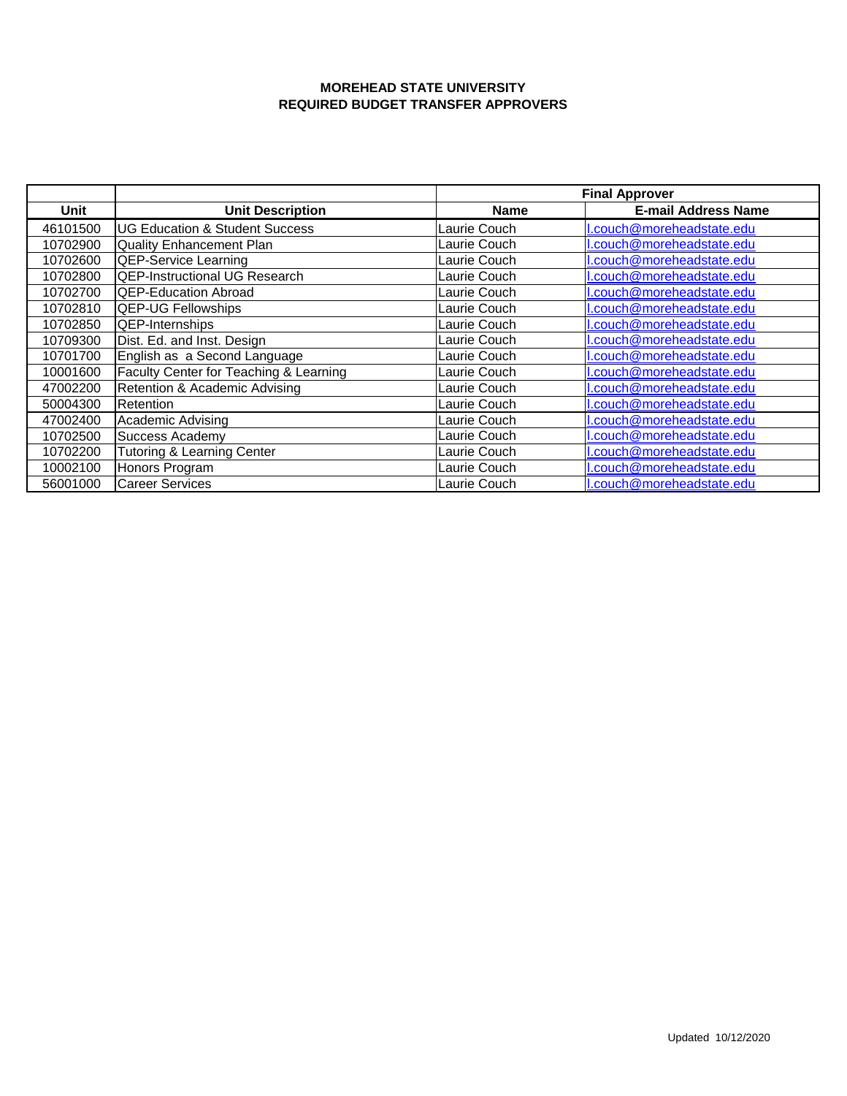|          |                                           | <b>Final Approver</b> |                            |
|----------|-------------------------------------------|-----------------------|----------------------------|
| Unit     | <b>Unit Description</b>                   | <b>Name</b>           | <b>E-mail Address Name</b> |
| 46101500 | <b>UG Education &amp; Student Success</b> | Laurie Couch          | l.couch@moreheadstate.edu  |
| 10702900 | <b>Quality Enhancement Plan</b>           | Laurie Couch          | l.couch@moreheadstate.edu  |
| 10702600 | <b>QEP-Service Learning</b>               | Laurie Couch          | l.couch@moreheadstate.edu  |
| 10702800 | <b>QEP-Instructional UG Research</b>      | Laurie Couch          | l.couch@moreheadstate.edu  |
| 10702700 | <b>QEP-Education Abroad</b>               | Laurie Couch          | l.couch@moreheadstate.edu  |
| 10702810 | <b>QEP-UG Fellowships</b>                 | Laurie Couch          | l.couch@moreheadstate.edu  |
| 10702850 | QEP-Internships                           | Laurie Couch          | l.couch@moreheadstate.edu  |
| 10709300 | Dist. Ed. and Inst. Design                | Laurie Couch          | l.couch@moreheadstate.edu  |
| 10701700 | English as a Second Language              | Laurie Couch          | l.couch@moreheadstate.edu  |
| 10001600 | Faculty Center for Teaching & Learning    | Laurie Couch          | l.couch@moreheadstate.edu  |
| 47002200 | Retention & Academic Advising             | Laurie Couch          | I.couch@moreheadstate.edu  |
| 50004300 | Retention                                 | Laurie Couch          | l.couch@moreheadstate.edu  |
| 47002400 | Academic Advising                         | Laurie Couch          | I.couch@moreheadstate.edu  |
| 10702500 | Success Academy                           | Laurie Couch          | I.couch@moreheadstate.edu  |
| 10702200 | <b>Tutoring &amp; Learning Center</b>     | Laurie Couch          | I.couch@moreheadstate.edu  |
| 10002100 | Honors Program                            | Laurie Couch          | I.couch@moreheadstate.edu  |
| 56001000 | <b>Career Services</b>                    | Laurie Couch          | l.couch@moreheadstate.edu  |